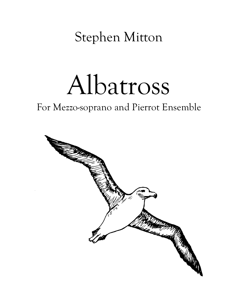Stephen Mitton

# Albatross

### For Mezzo-soprano and Pierrot Ensemble

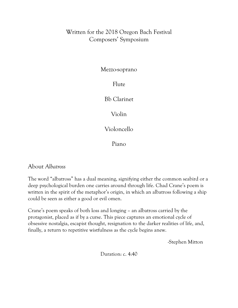#### Written for the 2018 Oregon Bach Festival Composers' Symposium

Mezzo-soprano

Flute

Bb Clarinet

Violin

Violoncello

Piano

#### About *Albatross*

The word "albatross" has a dual meaning, signifying either the common seabird or a deep psychological burden one carries around through life. Chad Crane's poem is written in the spirit of the metaphor's origin, in which an albatross following a ship could be seen as either a good or evil omen.

Crane's poem speaks of both loss and longing – an albatross carried by the protagonist, placed as if by a curse. This piece captures an emotional cycle of obsessive nostalgia, escapist thought, resignation to the darker realities of life, and, finally, a return to repetitive wistfulness as the cycle begins anew.

-Stephen Mitton

Duration: c. 4:40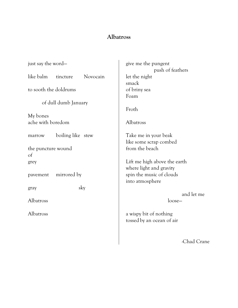#### **Albatross**

| just say the word-                | give me the pungent                                     |
|-----------------------------------|---------------------------------------------------------|
| like balm<br>Novocain<br>tincture | push of feathers<br>let the night                       |
| to sooth the doldrums             | smack<br>of briny sea<br>Foam                           |
| of dull dumb January              | Froth                                                   |
| My bones<br>ache with boredom     | Albatross                                               |
| boiling like<br>stew<br>marrow    | Take me in your beak<br>like some scrap combed          |
| the puncture wound<br>of          | from the beach                                          |
| grey                              | Lift me high above the earth<br>where light and gravity |
| mirrored by<br>pavement           | spin the music of clouds<br>into atmosphere             |
| sky<br>gray                       | and let me                                              |
| Albatross                         | loose-                                                  |
| Albatross                         | a wispy bit of nothing<br>tossed by an ocean of air     |
|                                   | -Chad Crai                                              |

-Chad Crane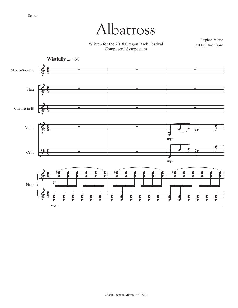## Albatross

Written for the 2018 Oregon Bach Festival Composers' Symposium

Stephen Mitton Text by Chad Crane

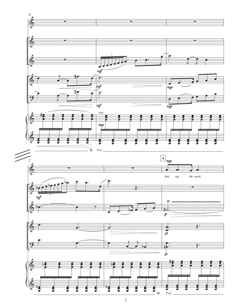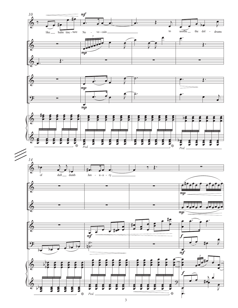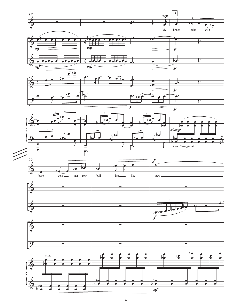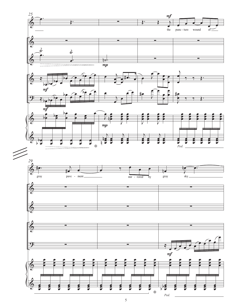

5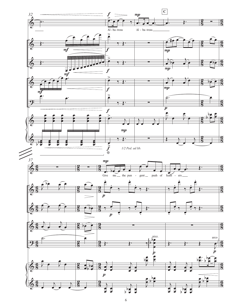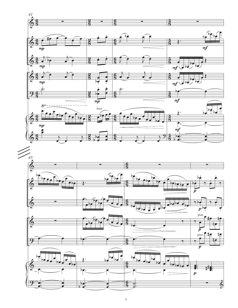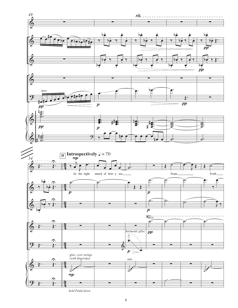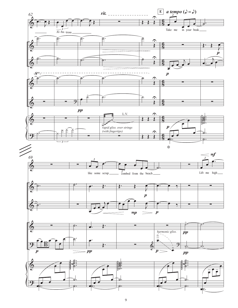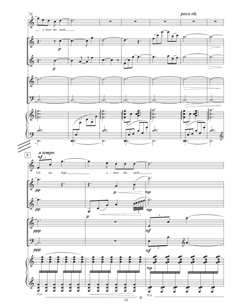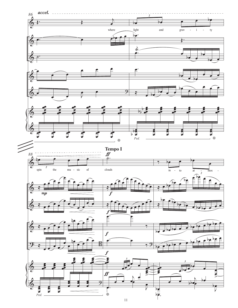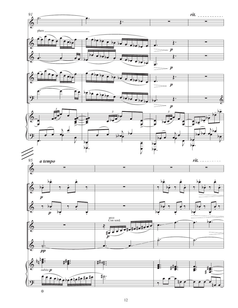

\*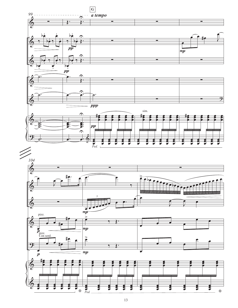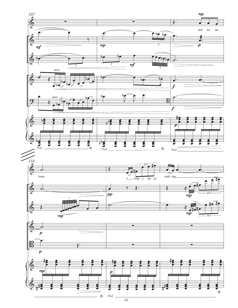